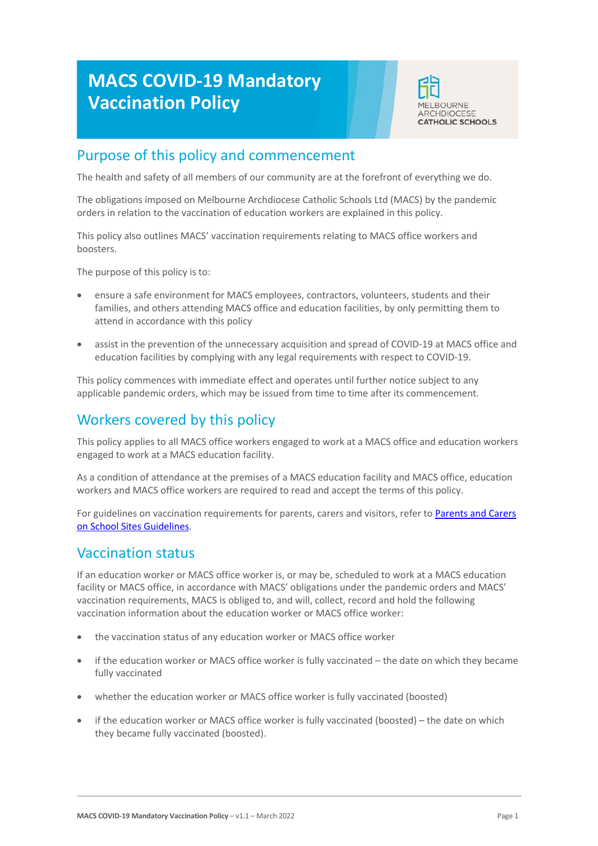# **MACS COVID-19 Mandatory Vaccination Policy**



# Purpose of this policy and commencement

The health and safety of all members of our community are at the forefront of everything we do.

The obligations imposed on Melbourne Archdiocese Catholic Schools Ltd (MACS) by the pandemic orders in relation to the vaccination of education workers are explained in this policy.

This policy also outlines MACS' vaccination requirements relating to MACS office workers and boosters.

The purpose of this policy is to:

- ensure a safe environment for MACS employees, contractors, volunteers, students and their families, and others attending MACS office and education facilities, by only permitting them to attend in accordance with this policy
- assist in the prevention of the unnecessary acquisition and spread of COVID-19 at MACS office and education facilities by complying with any legal requirements with respect to COVID-19.

This policy commences with immediate effect and operates until further notice subject to any applicable pandemic orders, which may be issued from time to time after its commencement.

# Workers covered by this policy

This policy applies to all MACS office workers engaged to work at a MACS office and education workers engaged to work at a MACS education facility.

As a condition of attendance at the premises of a MACS education facility and MACS office, education workers and MACS office workers are required to read and accept the terms of this policy.

For guidelines on vaccination requirements for parents, carers and visitors, refer to [Parents and Carers](https://cevn.cecv.catholic.edu.au/Melb/Document-File/Other/COVID/parent-and-visitor-guidelines.pdf)  [on School Sites Guidelines.](https://cevn.cecv.catholic.edu.au/Melb/Document-File/Other/COVID/parent-and-visitor-guidelines.pdf)

# Vaccination status

If an education worker or MACS office worker is, or may be, scheduled to work at a MACS education facility or MACS office, in accordance with MACS' obligations under the pandemic orders and MACS' vaccination requirements, MACS is obliged to, and will, collect, record and hold the following vaccination information about the education worker or MACS office worker:

- the vaccination status of any education worker or MACS office worker
- if the education worker or MACS office worker is fully vaccinated the date on which they became fully vaccinated
- whether the education worker or MACS office worker is fully vaccinated (boosted)
- if the education worker or MACS office worker is fully vaccinated (boosted) the date on which they became fully vaccinated (boosted).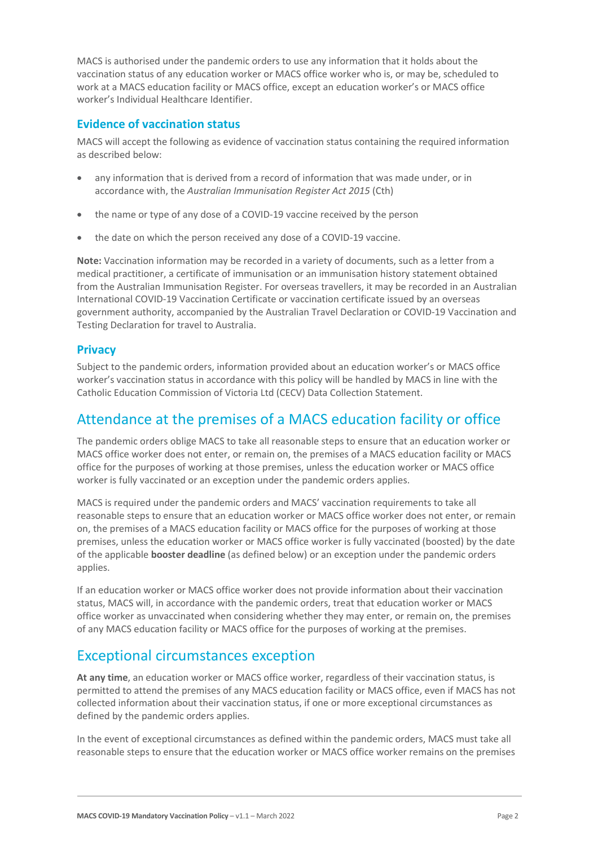MACS is authorised under the pandemic orders to use any information that it holds about the vaccination status of any education worker or MACS office worker who is, or may be, scheduled to work at a MACS education facility or MACS office, except an education worker's or MACS office worker's Individual Healthcare Identifier.

### **Evidence of vaccination status**

MACS will accept the following as evidence of vaccination status containing the required information as described below:

- any information that is derived from a record of information that was made under, or in accordance with, the *Australian Immunisation Register Act 2015* (Cth)
- the name or type of any dose of a COVID-19 vaccine received by the person
- the date on which the person received any dose of a COVID-19 vaccine.

**Note:** Vaccination information may be recorded in a variety of documents, such as a letter from a medical practitioner, a certificate of immunisation or an immunisation history statement obtained from the Australian Immunisation Register. For overseas travellers, it may be recorded in an Australian International COVID-19 Vaccination Certificate or vaccination certificate issued by an overseas government authority, accompanied by the Australian Travel Declaration or COVID-19 Vaccination and Testing Declaration for travel to Australia.

### **Privacy**

Subject to the pandemic orders, information provided about an education worker's or MACS office worker's vaccination status in accordance with this policy will be handled by MACS in line with the Catholic Education Commission of Victoria Ltd (CECV) Data Collection Statement.

### Attendance at the premises of a MACS education facility or office

The pandemic orders oblige MACS to take all reasonable steps to ensure that an education worker or MACS office worker does not enter, or remain on, the premises of a MACS education facility or MACS office for the purposes of working at those premises, unless the education worker or MACS office worker is fully vaccinated or an exception under the pandemic orders applies.

MACS is required under the pandemic orders and MACS' vaccination requirements to take all reasonable steps to ensure that an education worker or MACS office worker does not enter, or remain on, the premises of a MACS education facility or MACS office for the purposes of working at those premises, unless the education worker or MACS office worker is fully vaccinated (boosted) by the date of the applicable **booster deadline** (as defined below) or an exception under the pandemic orders applies.

If an education worker or MACS office worker does not provide information about their vaccination status, MACS will, in accordance with the pandemic orders, treat that education worker or MACS office worker as unvaccinated when considering whether they may enter, or remain on, the premises of any MACS education facility or MACS office for the purposes of working at the premises.

# Exceptional circumstances exception

**At any time**, an education worker or MACS office worker, regardless of their vaccination status, is permitted to attend the premises of any MACS education facility or MACS office, even if MACS has not collected information about their vaccination status, if one or more exceptional circumstances as defined by the pandemic orders applies.

In the event of exceptional circumstances as defined within the pandemic orders, MACS must take all reasonable steps to ensure that the education worker or MACS office worker remains on the premises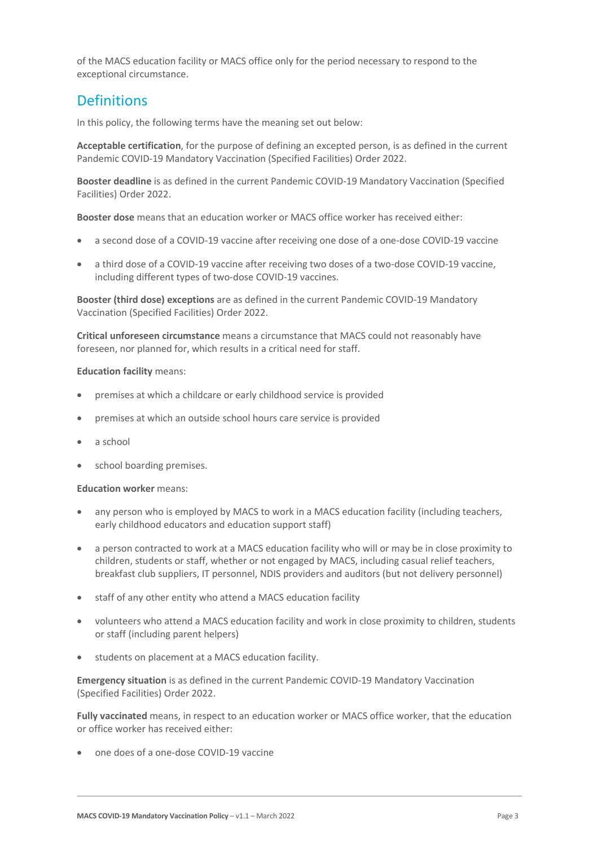of the MACS education facility or MACS office only for the period necessary to respond to the exceptional circumstance.

# **Definitions**

In this policy, the following terms have the meaning set out below:

**Acceptable certification**, for the purpose of defining an excepted person, is as defined in the current Pandemic COVID-19 Mandatory Vaccination (Specified Facilities) Order 2022.

**Booster deadline** is as defined in the current Pandemic COVID-19 Mandatory Vaccination (Specified Facilities) Order 2022.

**Booster dose** means that an education worker or MACS office worker has received either:

- a second dose of a COVID-19 vaccine after receiving one dose of a one-dose COVID-19 vaccine
- a third dose of a COVID-19 vaccine after receiving two doses of a two-dose COVID-19 vaccine, including different types of two-dose COVID-19 vaccines.

**Booster (third dose) exceptions** are as defined in the current Pandemic COVID-19 Mandatory Vaccination (Specified Facilities) Order 2022.

**Critical unforeseen circumstance** means a circumstance that MACS could not reasonably have foreseen, nor planned for, which results in a critical need for staff.

### **Education facility** means:

- premises at which a childcare or early childhood service is provided
- premises at which an outside school hours care service is provided
- a school
- school boarding premises.

#### **Education worker** means:

- any person who is employed by MACS to work in a MACS education facility (including teachers, early childhood educators and education support staff)
- a person contracted to work at a MACS education facility who will or may be in close proximity to children, students or staff, whether or not engaged by MACS, including casual relief teachers, breakfast club suppliers, IT personnel, NDIS providers and auditors (but not delivery personnel)
- staff of any other entity who attend a MACS education facility
- volunteers who attend a MACS education facility and work in close proximity to children, students or staff (including parent helpers)
- students on placement at a MACS education facility.

**Emergency situation** is as defined in the current Pandemic COVID-19 Mandatory Vaccination (Specified Facilities) Order 2022.

**Fully vaccinated** means, in respect to an education worker or MACS office worker, that the education or office worker has received either:

• one does of a one-dose COVID-19 vaccine